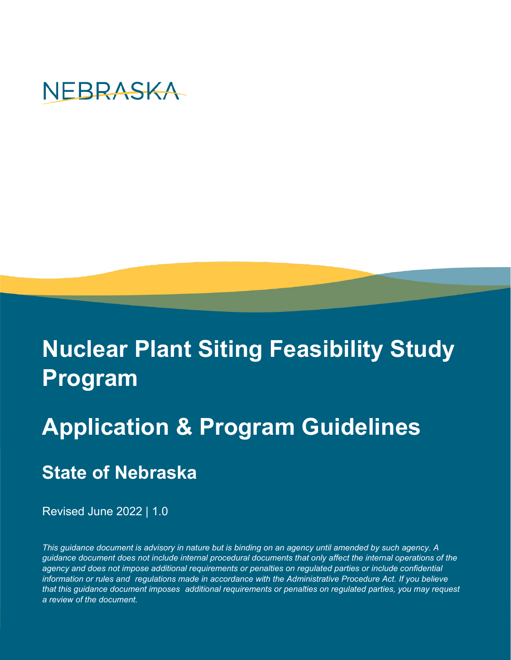

# **Nuclear Plant Siting Feasibility Study Program**

# **Application & Program Guidelines**

# **State of Nebraska**

Revised June 2022 | 1.0

*This guidance document is advisory in nature but is binding on an agency until amended by such agency. A guidance document does not include internal procedural documents that only affect the internal operations of the agency and does not impose additional requirements or penalties on regulated parties or include confidential information or rules and regulations made in accordance with the Administrative Procedure Act. If you believe that this guidance document imposes additional requirements or penalties on regulated parties, you may request a review of the document.*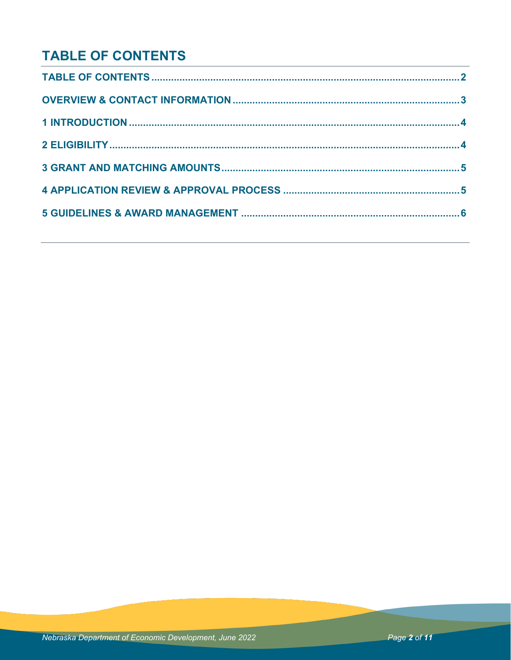## **TABLE OF CONTENTS**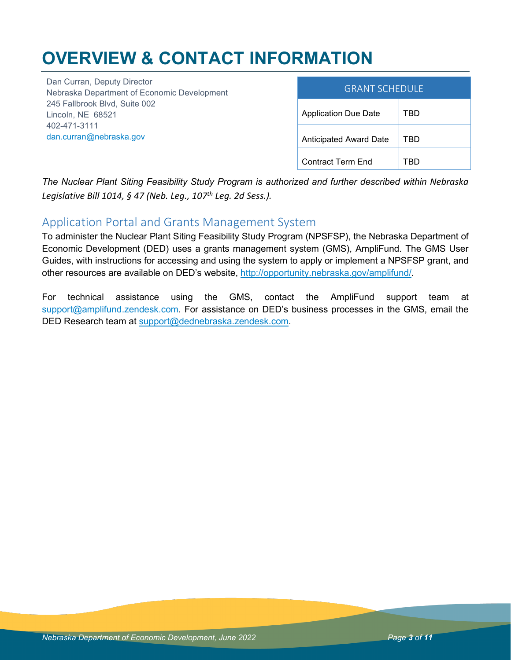# **OVERVIEW & CONTACT INFORMATION**

Dan Curran, Deputy Director Nebraska Department of Economic Development 245 Fallbrook Blvd, Suite 002 Lincoln, NE 68521 402-471-3111 [dan.curran@nebraska.gov](mailto:dan.curran@nebraska.gov)

| <b>GRANT SCHEDULE</b>         |     |
|-------------------------------|-----|
| <b>Application Due Date</b>   | TBD |
| <b>Anticipated Award Date</b> | TBD |
| Contract Term End             |     |

*The Nuclear Plant Siting Feasibility Study Program is authorized and further described within Nebraska Legislative Bill 1014, § 47 (Neb. Leg., 107th Leg. 2d Sess.).*

### Application Portal and Grants Management System

To administer the Nuclear Plant Siting Feasibility Study Program (NPSFSP), the Nebraska Department of Economic Development (DED) uses a grants management system (GMS), AmpliFund. The GMS User Guides, with instructions for accessing and using the system to apply or implement a NPSFSP grant, and other resources are available on DED's website, [http://opportunity.nebraska.gov/amplifund/.](http://opportunity.nebraska.gov/amplifund/)

For technical assistance using the GMS, contact the AmpliFund support team at [support@amplifund.zendesk.com.](mailto:support@amplifund.zendesk.com) For assistance on DED's business processes in the GMS, email the DED Research team at [support@dednebraska.zendesk.com.](mailto:support@dednebraska.zendesk.com)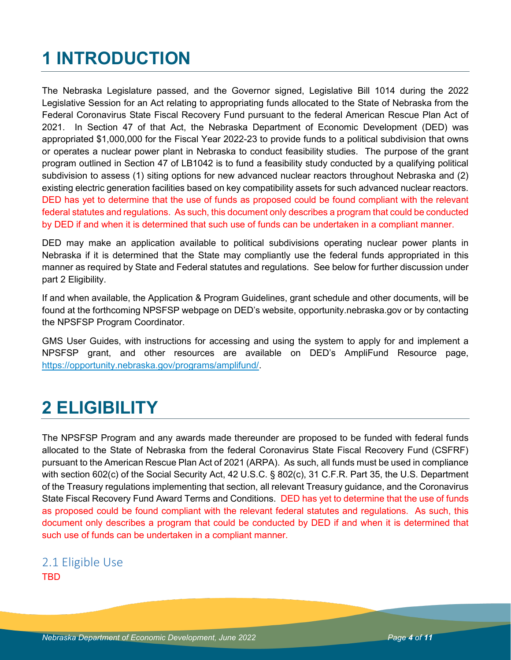# **1 INTRODUCTION**

The Nebraska Legislature passed, and the Governor signed, Legislative Bill 1014 during the 2022 Legislative Session for an Act relating to appropriating funds allocated to the State of Nebraska from the Federal Coronavirus State Fiscal Recovery Fund pursuant to the federal American Rescue Plan Act of 2021. In Section 47 of that Act, the Nebraska Department of Economic Development (DED) was appropriated \$1,000,000 for the Fiscal Year 2022-23 to provide funds to a political subdivision that owns or operates a nuclear power plant in Nebraska to conduct feasibility studies. The purpose of the grant program outlined in Section 47 of LB1042 is to fund a feasibility study conducted by a qualifying political subdivision to assess (1) siting options for new advanced nuclear reactors throughout Nebraska and (2) existing electric generation facilities based on key compatibility assets for such advanced nuclear reactors. DED has yet to determine that the use of funds as proposed could be found compliant with the relevant federal statutes and regulations. As such, this document only describes a program that could be conducted by DED if and when it is determined that such use of funds can be undertaken in a compliant manner.

DED may make an application available to political subdivisions operating nuclear power plants in Nebraska if it is determined that the State may compliantly use the federal funds appropriated in this manner as required by State and Federal statutes and regulations. See below for further discussion under part 2 Eligibility.

If and when available, the Application & Program Guidelines, grant schedule and other documents, will be found at the forthcoming NPSFSP webpage on DED's website, opportunity.nebraska.gov or by contacting the NPSFSP Program Coordinator.

GMS User Guides, with instructions for accessing and using the system to apply for and implement a NPSFSP grant, and other resources are available on DED's AmpliFund Resource page, [https://opportunity.nebraska.gov/programs/amplifund/.](https://opportunity.nebraska.gov/programs/amplifund/)

# **2 ELIGIBILITY**

The NPSFSP Program and any awards made thereunder are proposed to be funded with federal funds allocated to the State of Nebraska from the federal Coronavirus State Fiscal Recovery Fund (CSFRF) pursuant to the American Rescue Plan Act of 2021 (ARPA). As such, all funds must be used in compliance with section 602(c) of the Social Security Act, 42 U.S.C. § 802(c), 31 C.F.R. Part 35, the U.S. Department of the Treasury regulations implementing that section, all relevant Treasury guidance, and the Coronavirus State Fiscal Recovery Fund Award Terms and Conditions. DED has yet to determine that the use of funds as proposed could be found compliant with the relevant federal statutes and regulations. As such, this document only describes a program that could be conducted by DED if and when it is determined that such use of funds can be undertaken in a compliant manner.

### 2.1 Eligible Use **TBD**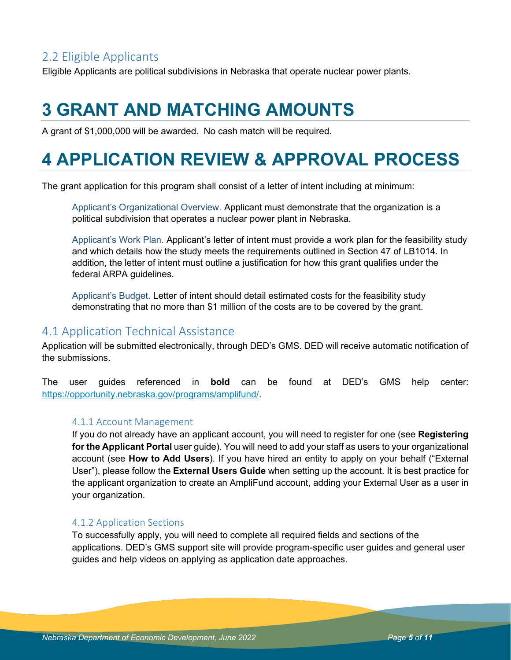### 2.2 Eligible Applicants

Eligible Applicants are political subdivisions in Nebraska that operate nuclear power plants.

# **3 GRANT AND MATCHING AMOUNTS**

A grant of \$1,000,000 will be awarded. No cash match will be required.

# **4 APPLICATION REVIEW & APPROVAL PROCESS**

The grant application for this program shall consist of a letter of intent including at minimum:

Applicant's Organizational Overview. Applicant must demonstrate that the organization is a political subdivision that operates a nuclear power plant in Nebraska.

Applicant's Work Plan. Applicant's letter of intent must provide a work plan for the feasibility study and which details how the study meets the requirements outlined in Section 47 of LB1014. In addition, the letter of intent must outline a justification for how this grant qualifies under the federal ARPA guidelines.

Applicant's Budget. Letter of intent should detail estimated costs for the feasibility study demonstrating that no more than \$1 million of the costs are to be covered by the grant.

### 4.1 Application Technical Assistance

Application will be submitted electronically, through DED's GMS. DED will receive automatic notification of the submissions.

The user guides referenced in **bold** can be found at DED's GMS help center: [https://opportunity.nebraska.gov/programs/amplifund/.](https://opportunity.nebraska.gov/programs/amplifund/)

#### 4.1.1 Account Management

If you do not already have an applicant account, you will need to register for one (see **Registering for the Applicant Portal** user guide). You will need to add your staff as users to your organizational account (see **How to Add Users**). If you have hired an entity to apply on your behalf ("External User"), please follow the **External Users Guide** when setting up the account. It is best practice for the applicant organization to create an AmpliFund account, adding your External User as a user in your organization.

#### 4.1.2 Application Sections

To successfully apply, you will need to complete all required fields and sections of the applications. DED's GMS support site will provide program-specific user guides and general user guides and help videos on applying as application date approaches.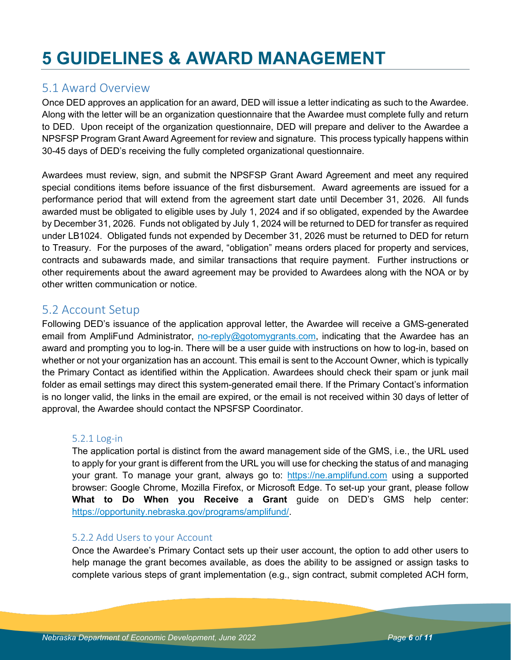# **5 GUIDELINES & AWARD MANAGEMENT**

### 5.1 Award Overview

Once DED approves an application for an award, DED will issue a letter indicating as such to the Awardee. Along with the letter will be an organization questionnaire that the Awardee must complete fully and return to DED. Upon receipt of the organization questionnaire, DED will prepare and deliver to the Awardee a NPSFSP Program Grant Award Agreement for review and signature. This process typically happens within 30-45 days of DED's receiving the fully completed organizational questionnaire.

Awardees must review, sign, and submit the NPSFSP Grant Award Agreement and meet any required special conditions items before issuance of the first disbursement. Award agreements are issued for a performance period that will extend from the agreement start date until December 31, 2026. All funds awarded must be obligated to eligible uses by July 1, 2024 and if so obligated, expended by the Awardee by December 31, 2026. Funds not obligated by July 1, 2024 will be returned to DED for transfer as required under LB1024. Obligated funds not expended by December 31, 2026 must be returned to DED for return to Treasury. For the purposes of the award, "obligation" means orders placed for property and services, contracts and subawards made, and similar transactions that require payment. Further instructions or other requirements about the award agreement may be provided to Awardees along with the NOA or by other written communication or notice.

### 5.2 Account Setup

Following DED's issuance of the application approval letter, the Awardee will receive a GMS-generated email from AmpliFund Administrator, [no-reply@gotomygrants.com,](mailto:no-reply@gotomygrants.com) indicating that the Awardee has an award and prompting you to log-in. There will be a user guide with instructions on how to log-in, based on whether or not your organization has an account. This email is sent to the Account Owner, which is typically the Primary Contact as identified within the Application. Awardees should check their spam or junk mail folder as email settings may direct this system-generated email there. If the Primary Contact's information is no longer valid, the links in the email are expired, or the email is not received within 30 days of letter of approval, the Awardee should contact the NPSFSP Coordinator.

#### 5.2.1 Log-in

The application portal is distinct from the award management side of the GMS, i.e., the URL used to apply for your grant is different from the URL you will use for checking the status of and managing your grant. To manage your grant, always go to: [https://ne.amplifund.com](https://ne.amplifund.com/) using a supported browser: Google Chrome, Mozilla Firefox, or Microsoft Edge. To set-up your grant, please follow **What to Do When you Receive a Grant** guide on DED's GMS help center: [https://opportunity.nebraska.gov/programs/amplifund/.](https://opportunity.nebraska.gov/programs/amplifund/)

#### 5.2.2 Add Users to your Account

Once the Awardee's Primary Contact sets up their user account, the option to add other users to help manage the grant becomes available, as does the ability to be assigned or assign tasks to complete various steps of grant implementation (e.g., sign contract, submit completed ACH form,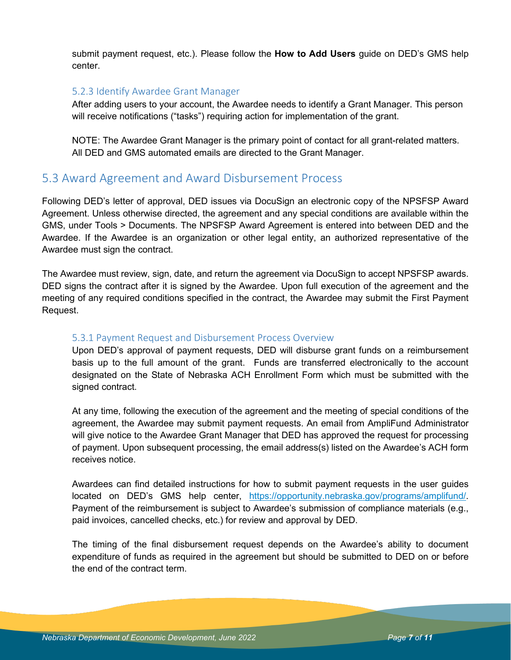submit payment request, etc.). Please follow the **How to Add Users** guide on DED's GMS help center.

#### 5.2.3 Identify Awardee Grant Manager

After adding users to your account, the Awardee needs to identify a Grant Manager. This person will receive notifications ("tasks") requiring action for implementation of the grant.

NOTE: The Awardee Grant Manager is the primary point of contact for all grant-related matters. All DED and GMS automated emails are directed to the Grant Manager.

### 5.3 Award Agreement and Award Disbursement Process

Following DED's letter of approval, DED issues via DocuSign an electronic copy of the NPSFSP Award Agreement. Unless otherwise directed, the agreement and any special conditions are available within the GMS, under Tools > Documents. The NPSFSP Award Agreement is entered into between DED and the Awardee. If the Awardee is an organization or other legal entity, an authorized representative of the Awardee must sign the contract.

The Awardee must review, sign, date, and return the agreement via DocuSign to accept NPSFSP awards. DED signs the contract after it is signed by the Awardee. Upon full execution of the agreement and the meeting of any required conditions specified in the contract, the Awardee may submit the First Payment Request.

#### 5.3.1 Payment Request and Disbursement Process Overview

Upon DED's approval of payment requests, DED will disburse grant funds on a reimbursement basis up to the full amount of the grant. Funds are transferred electronically to the account designated on the State of Nebraska ACH Enrollment Form which must be submitted with the signed contract.

At any time, following the execution of the agreement and the meeting of special conditions of the agreement, the Awardee may submit payment requests. An email from AmpliFund Administrator will give notice to the Awardee Grant Manager that DED has approved the request for processing of payment. Upon subsequent processing, the email address(s) listed on the Awardee's ACH form receives notice.

Awardees can find detailed instructions for how to submit payment requests in the user guides located on DED's GMS help center, [https://opportunity.nebraska.gov/programs/amplifund/.](https://opportunity.nebraska.gov/programs/amplifund/) Payment of the reimbursement is subject to Awardee's submission of compliance materials (e.g., paid invoices, cancelled checks, etc.) for review and approval by DED.

The timing of the final disbursement request depends on the Awardee's ability to document expenditure of funds as required in the agreement but should be submitted to DED on or before the end of the contract term.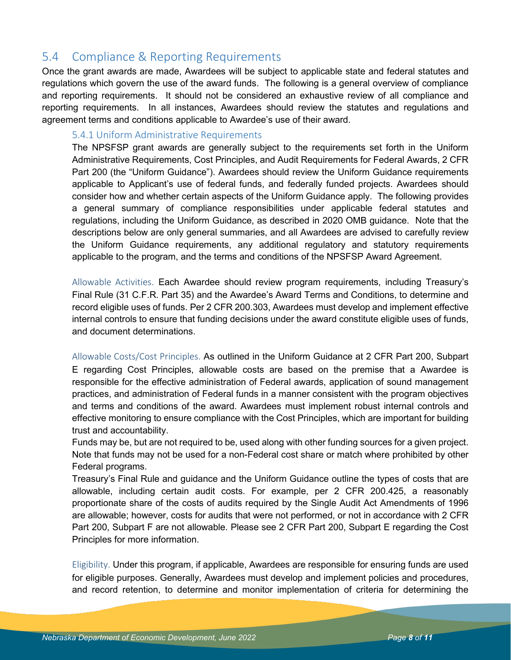### 5.4 Compliance & Reporting Requirements

Once the grant awards are made, Awardees will be subject to applicable state and federal statutes and regulations which govern the use of the award funds. The following is a general overview of compliance and reporting requirements. It should not be considered an exhaustive review of all compliance and reporting requirements. In all instances, Awardees should review the statutes and regulations and agreement terms and conditions applicable to Awardee's use of their award.

#### 5.4.1 Uniform Administrative Requirements

The NPSFSP grant awards are generally subject to the requirements set forth in the Uniform Administrative Requirements, Cost Principles, and Audit Requirements for Federal Awards, 2 CFR Part 200 (the "Uniform Guidance"). Awardees should review the Uniform Guidance requirements applicable to Applicant's use of federal funds, and federally funded projects. Awardees should consider how and whether certain aspects of the Uniform Guidance apply. The following provides a general summary of compliance responsibilities under applicable federal statutes and regulations, including the Uniform Guidance, as described in 2020 OMB guidance. Note that the descriptions below are only general summaries, and all Awardees are advised to carefully review the Uniform Guidance requirements, any additional regulatory and statutory requirements applicable to the program, and the terms and conditions of the NPSFSP Award Agreement.

Allowable Activities. Each Awardee should review program requirements, including Treasury's Final Rule (31 C.F.R. Part 35) and the Awardee's Award Terms and Conditions, to determine and record eligible uses of funds. Per 2 CFR 200.303, Awardees must develop and implement effective internal controls to ensure that funding decisions under the award constitute eligible uses of funds, and document determinations.

Allowable Costs/Cost Principles. As outlined in the Uniform Guidance at 2 CFR Part 200, Subpart E regarding Cost Principles, allowable costs are based on the premise that a Awardee is responsible for the effective administration of Federal awards, application of sound management practices, and administration of Federal funds in a manner consistent with the program objectives and terms and conditions of the award. Awardees must implement robust internal controls and effective monitoring to ensure compliance with the Cost Principles, which are important for building trust and accountability.

Funds may be, but are not required to be, used along with other funding sources for a given project. Note that funds may not be used for a non-Federal cost share or match where prohibited by other Federal programs.

Treasury's Final Rule and guidance and the Uniform Guidance outline the types of costs that are allowable, including certain audit costs. For example, per 2 CFR 200.425, a reasonably proportionate share of the costs of audits required by the Single Audit Act Amendments of 1996 are allowable; however, costs for audits that were not performed, or not in accordance with 2 CFR Part 200, Subpart F are not allowable. Please see 2 CFR Part 200, Subpart E regarding the Cost Principles for more information.

Eligibility. Under this program, if applicable, Awardees are responsible for ensuring funds are used for eligible purposes. Generally, Awardees must develop and implement policies and procedures, and record retention, to determine and monitor implementation of criteria for determining the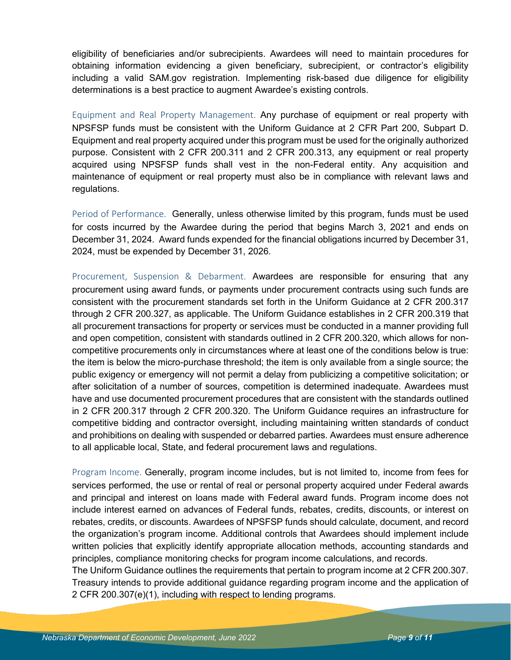eligibility of beneficiaries and/or subrecipients. Awardees will need to maintain procedures for obtaining information evidencing a given beneficiary, subrecipient, or contractor's eligibility including a valid SAM.gov registration. Implementing risk-based due diligence for eligibility determinations is a best practice to augment Awardee's existing controls.

Equipment and Real Property Management. Any purchase of equipment or real property with NPSFSP funds must be consistent with the Uniform Guidance at 2 CFR Part 200, Subpart D. Equipment and real property acquired under this program must be used for the originally authorized purpose. Consistent with 2 CFR 200.311 and 2 CFR 200.313, any equipment or real property acquired using NPSFSP funds shall vest in the non-Federal entity. Any acquisition and maintenance of equipment or real property must also be in compliance with relevant laws and regulations.

Period of Performance. Generally, unless otherwise limited by this program, funds must be used for costs incurred by the Awardee during the period that begins March 3, 2021 and ends on December 31, 2024. Award funds expended for the financial obligations incurred by December 31, 2024, must be expended by December 31, 2026.

Procurement, Suspension & Debarment. Awardees are responsible for ensuring that any procurement using award funds, or payments under procurement contracts using such funds are consistent with the procurement standards set forth in the Uniform Guidance at 2 CFR 200.317 through 2 CFR 200.327, as applicable. The Uniform Guidance establishes in 2 CFR 200.319 that all procurement transactions for property or services must be conducted in a manner providing full and open competition, consistent with standards outlined in 2 CFR 200.320, which allows for noncompetitive procurements only in circumstances where at least one of the conditions below is true: the item is below the micro-purchase threshold; the item is only available from a single source; the public exigency or emergency will not permit a delay from publicizing a competitive solicitation; or after solicitation of a number of sources, competition is determined inadequate. Awardees must have and use documented procurement procedures that are consistent with the standards outlined in 2 CFR 200.317 through 2 CFR 200.320. The Uniform Guidance requires an infrastructure for competitive bidding and contractor oversight, including maintaining written standards of conduct and prohibitions on dealing with suspended or debarred parties. Awardees must ensure adherence to all applicable local, State, and federal procurement laws and regulations.

Program Income. Generally, program income includes, but is not limited to, income from fees for services performed, the use or rental of real or personal property acquired under Federal awards and principal and interest on loans made with Federal award funds. Program income does not include interest earned on advances of Federal funds, rebates, credits, discounts, or interest on rebates, credits, or discounts. Awardees of NPSFSP funds should calculate, document, and record the organization's program income. Additional controls that Awardees should implement include written policies that explicitly identify appropriate allocation methods, accounting standards and principles, compliance monitoring checks for program income calculations, and records. The Uniform Guidance outlines the requirements that pertain to program income at 2 CFR 200.307.

Treasury intends to provide additional guidance regarding program income and the application of 2 CFR 200.307(e)(1), including with respect to lending programs.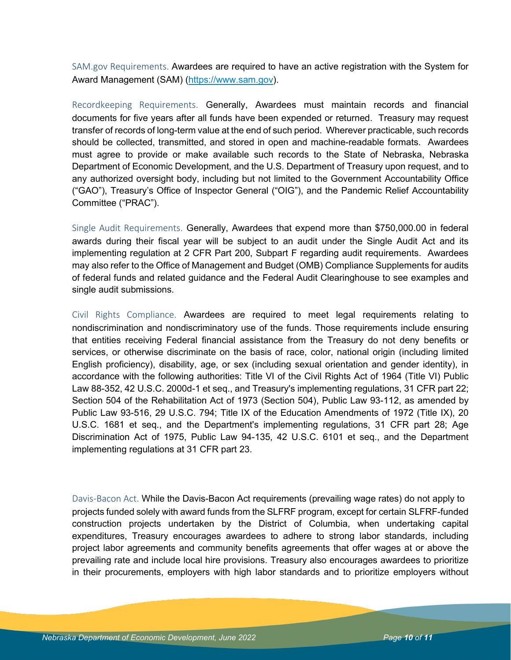SAM.gov Requirements. Awardees are required to have an active registration with the System for Award Management (SAM) [\(https://www.sam.gov\)](https://www.sam.gov/).

Recordkeeping Requirements. Generally, Awardees must maintain records and financial documents for five years after all funds have been expended or returned. Treasury may request transfer of records of long-term value at the end of such period. Wherever practicable, such records should be collected, transmitted, and stored in open and machine-readable formats. Awardees must agree to provide or make available such records to the State of Nebraska, Nebraska Department of Economic Development, and the U.S. Department of Treasury upon request, and to any authorized oversight body, including but not limited to the Government Accountability Office ("GAO"), Treasury's Office of Inspector General ("OIG"), and the Pandemic Relief Accountability Committee ("PRAC").

Single Audit Requirements. Generally, Awardees that expend more than \$750,000.00 in federal awards during their fiscal year will be subject to an audit under the Single Audit Act and its implementing regulation at 2 CFR Part 200, Subpart F regarding audit requirements. Awardees may also refer to the Office of Management and Budget (OMB) Compliance Supplements for audits of federal funds and related guidance and the Federal Audit Clearinghouse to see examples and single audit submissions.

Civil Rights Compliance. Awardees are required to meet legal requirements relating to nondiscrimination and nondiscriminatory use of the funds. Those requirements include ensuring that entities receiving Federal financial assistance from the Treasury do not deny benefits or services, or otherwise discriminate on the basis of race, color, national origin (including limited English proficiency), disability, age, or sex (including sexual orientation and gender identity), in accordance with the following authorities: Title VI of the Civil Rights Act of 1964 (Title VI) Public Law 88-352, 42 U.S.C. 2000d-1 et seq., and Treasury's implementing regulations, 31 CFR part 22; Section 504 of the Rehabilitation Act of 1973 (Section 504), Public Law 93-112, as amended by Public Law 93-516, 29 U.S.C. 794; Title IX of the Education Amendments of 1972 (Title IX), 20 U.S.C. 1681 et seq., and the Department's implementing regulations, 31 CFR part 28; Age Discrimination Act of 1975, Public Law 94-135, 42 U.S.C. 6101 et seq., and the Department implementing regulations at 31 CFR part 23.

Davis-Bacon Act. While the Davis-Bacon Act requirements (prevailing wage rates) do not apply to projects funded solely with award funds from the SLFRF program, except for certain SLFRF-funded construction projects undertaken by the District of Columbia, when undertaking capital expenditures, Treasury encourages awardees to adhere to strong labor standards, including project labor agreements and community benefits agreements that offer wages at or above the prevailing rate and include local hire provisions. Treasury also encourages awardees to prioritize in their procurements, employers with high labor standards and to prioritize employers without